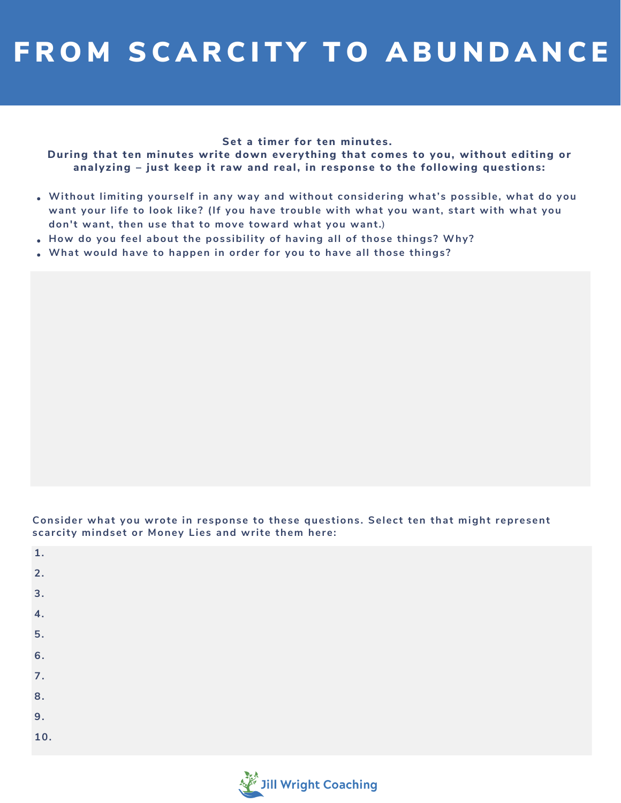## FROM SCARCITY TO ABUNDANCE

## **Set a timer for ten minutes.**

During that ten minutes write down everything that comes to you, without editing or **analyzing – just keep it raw and real, in response to the following questions:**

- **Without limiting yourself in any way and without considering what's possible, what do you want your life to look like? (If you have trouble with what you want, start with what you don't want, then use that to move toward what you want.)**
- **How do you feel about the possibility of having all of those things? Why?**
- **What would have to happen in order for you to have all those things?**

**Consider what you wrote in response to these questions. Select ten that might represent scarcity mindset or Money Lies and write them here:**

| 1.               |  |  |
|------------------|--|--|
| 2.               |  |  |
| 3 <sub>1</sub>   |  |  |
| 4.               |  |  |
| 5.               |  |  |
| 6.               |  |  |
| $\overline{7}$ . |  |  |
| 8.               |  |  |
| 9.               |  |  |
| 10.              |  |  |